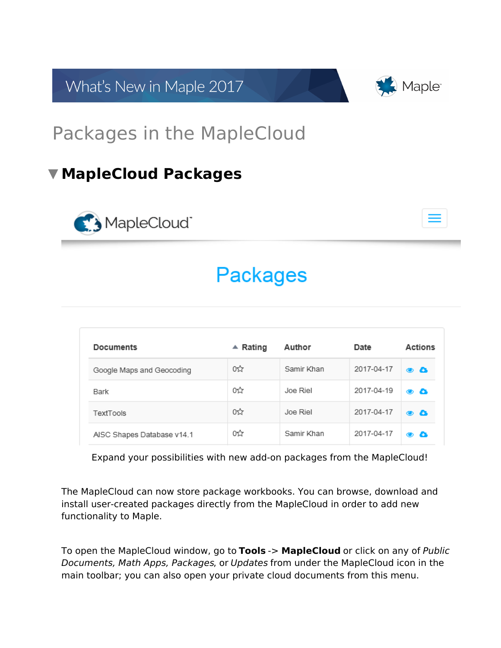What's New in Maple 2017



# Packages in the MapleCloud

# **MapleCloud Packages**





# **Packages**

| <b>Documents</b>           | $\triangle$ Rating | Author     | Date       | <b>Actions</b> |
|----------------------------|--------------------|------------|------------|----------------|
| Google Maps and Geocoding  | 0☆                 | Samir Khan | 2017-04-17 | ® &            |
| Bark                       | 0ŵ                 | Joe Riel   | 2017-04-19 | ை              |
| TextTools                  | 0☆                 | Joe Riel   | 2017-04-17 | ை              |
| AISC Shapes Database v14.1 | 0☆                 | Samir Khan | 2017-04-17 | ை              |

Expand your possibilities with new add-on packages from the MapleCloud!

The MapleCloud can now store package workbooks. You can browse, download and install user-created packages directly from the MapleCloud in order to add new functionality to Maple.

To open the MapleCloud window, go to **Tools** -> **MapleCloud** or click on any of *Public Documents, Math Apps, Packages*, or *Updates* from under the MapleCloud icon in the main toolbar; you can also open your private cloud documents from this menu.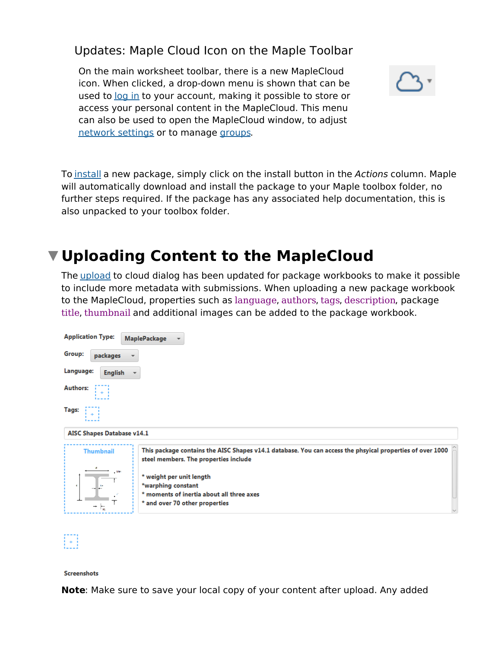### Updates: Maple Cloud Icon on the Maple Toolbar

On the main worksheet toolbar, there is a new MapleCloud icon. When clicked, a drop-down menu is shown that can be used to log in to your account, making it possible to store or access your personal content in the MapleCloud. This menu can also be used to open the MapleCloud window, to adjust network settings or to manage groups.



To install a new package, simply click on the install button in the *Actions* column. Maple will automatically download and install the package to your Maple toolbox folder, no further steps required. If the package has any associated help documentation, this is also unpacked to your toolbox folder.

## **Uploading Content to the MapleCloud**

The upload to cloud dialog has been updated for package workbooks to make it possible to include more metadata with submissions. When uploading a new package workbook to the MapleCloud, properties such as language, authors, tags, description, package title, thumbnail and additional images can be added to the package workbook.

| <b>Application Type:</b> |                            | <b>MaplePackage</b>                                                                                                                                                            |  |
|--------------------------|----------------------------|--------------------------------------------------------------------------------------------------------------------------------------------------------------------------------|--|
| Group:                   | packages                   |                                                                                                                                                                                |  |
| Language:                | <b>English</b>             |                                                                                                                                                                                |  |
| <b>Authors:</b>          |                            |                                                                                                                                                                                |  |
| Tags:                    |                            |                                                                                                                                                                                |  |
|                          | AISC Shapes Database v14.1 |                                                                                                                                                                                |  |
|                          | <b>Thumbnail</b><br>bin.   | This package contains the AISC Shapes v14.1 database. You can access the phsyical properties of over 1000<br>steel members. The properties include<br>* weight per unit length |  |
| $\epsilon$               |                            | *warphing constant<br>* moments of inertia about all three axes                                                                                                                |  |
|                          | 土長                         | * and over 70 other properties                                                                                                                                                 |  |
|                          |                            |                                                                                                                                                                                |  |



**Screenshots** 

**Note**: Make sure to save your local copy of your content after upload. Any added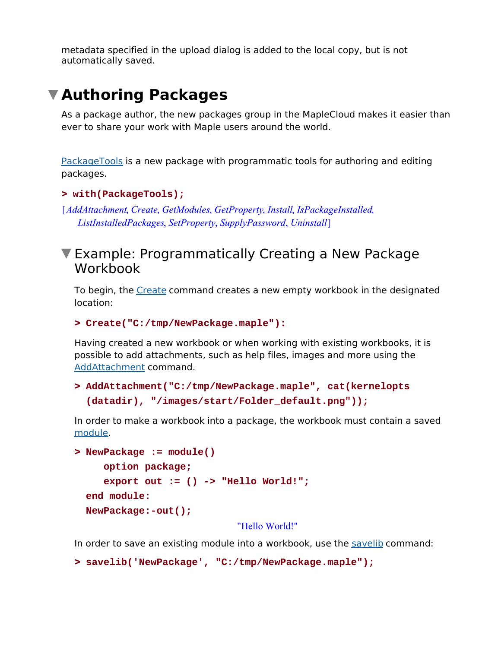metadata specified in the upload dialog is added to the local copy, but is not automatically saved.

### **Authoring Packages**

As a package author, the new packages group in the MapleCloud makes it easier than ever to share your work with Maple users around the world.

PackageTools is a new package with programmatic tools for authoring and editing packages.

#### **> with(PackageTools);**

[AddAttachment, Create, GetModules, GetProperty, Install, IsPackageInstalled, ListInstalledPackages, SetProperty, SupplyPassword, Uninstall]

### Example: Programmatically Creating a New Package Workbook

To begin, the Create command creates a new empty workbook in the designated location:

```
> 
Create("C:/tmp/NewPackage.maple"):
```
Having created a new workbook or when working with existing workbooks, it is possible to add attachments, such as help files, images and more using the AddAttachment command.

```
> 
AddAttachment("C:/tmp/NewPackage.maple", cat(kernelopts
  (datadir), "/images/start/Folder_default.png"));
```
In order to make a workbook into a package, the workbook must contain a saved module.

```
> 
NewPackage := module()
      option package;
      export out := () -> "Hello World!";
 end module:
 NewPackage:-out();
```
#### "Hello World!"

In order to save an existing module into a workbook, use the savelib command:

```
> 
savelib('NewPackage', "C:/tmp/NewPackage.maple");
```